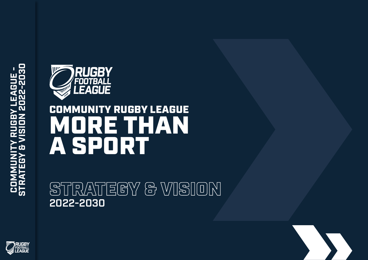

# COMMUNITY RUGBY LEAGUE **MORE THAN<br>A SPORT SPORT**

STRATEGY & VISION



2022-2030

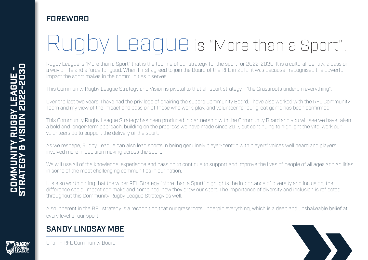#### **FOREWORD**

# Rugby League is "More than a Sport".

Rugby League is "More than a Sport" that is the top line of our strategy for the sport for 2022-2030. It is a cultural identity, a passion, a way of life and a force for good. When I first agreed to join the Board of the RFL in 2019, it was because I recognised the powerful impact the sport makes in the communities it serves.

This Community Rugby League Strategy and Vision is pivotal to that all-sport strategy - "the Grassroots underpin everything".

Over the last two years, I have had the privilege of chairing the superb Community Board. I have also worked with the RFL Community Team and my view of the impact and passion of those who work, play, and volunteer for our great game has been confirmed.

This Community Rugby League Strategy has been produced in partnership with the Community Board and you will see we have taken a bold and longer-term approach, building on the progress we have made since 2017, but continuing to highlight the vital work our volunteers do to support the delivery of the sport.

As we reshape. Rugby League can also lead sports in being genuinely player-centric with players' voices well heard and players involved more in decision making across the sport.

We will use all of the knowledge, experience and passion to continue to support and improve the lives of people of all ages and abilities in some of the most challenging communities in our nation.

It is also worth noting that the wider RFL Strategy "More than a Sport" highlights the importance of diversity and inclusion, the difference social impact can make and combined, how they grow our sport. The importance of diversity and inclusion is reflected throughout this Community Rugby League Strategy as well.

Also inherent in the RFL strategy is a recognition that our grassroots underpin everything, which is a deep and unshakeable belief at every level of our sport.

#### SANDY LINDSAY MBE



**COMMUNITY RUGBY LEAGUE - STRATEGY & VISION 2022-2030**

COMMUNITY RUGBY LEAGUE –<br>STRATEGY & VISION 2022-2030

Chair – RFL Community Board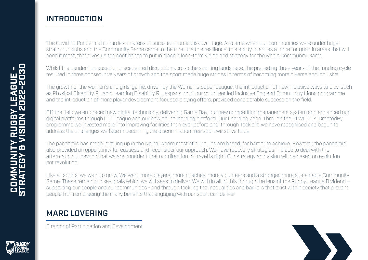#### **INTRODUCTION**

The Covid-19 Pandemic hit hardest in areas of socio-economic disadvantage. At a time when our communities were under huge strain, our clubs and the Community Game came to the fore. It is this resilience, this ability to act as a force for good in areas that will need it most, that gives us the confidence to put in place a long-term vision and strategy for the whole Community Game.

Whilst the pandemic caused unprecedented disruption across the sporting landscape, the preceding three years of the funding cycle resulted in three consecutive years of growth and the sport made huge strides in terms of becoming more diverse and inclusive.

The growth of the women's and girls' game, driven by the Women's Super League, the introduction of new inclusive ways to play, such as Physical Disability RL and Learning Disability RL, expansion of our volunteer led inclusive England Community Lions programme and the introduction of more player development focused playing offers, provided considerable success on the field.

Off the field we embraced new digital technology, delivering Game Day, our new competition management system and enhanced our digital platforms through Our League and our new online learning platform, Our Learning Zone. Through the RLWC2021 CreatedBy programme we invested more into improving facilities than ever before and, through Tackle It, we have recognised and begun to address the challenges we face in becoming the discrimination free sport we strive to be.

The pandemic has made levelling up in the North, where most of our clubs are based, far harder to achieve. However, the pandemic also provided an opportunity to reassess and reconsider our approach. We have recovery strategies in place to deal with the aftermath, but beyond that we are confident that our direction of travel is right. Our strategy and vision will be based on evolution not revolution.

Like all sports, we want to grow. We want more players, more coaches, more volunteers and a stronger, more sustainable Community Game. These remain our key goals which we will seek to deliver. We will do all of this through the lens of the Rugby League Dividend – supporting our people and our communities - and through tackling the inequalities and barriers that exist within society that prevent people from embracing the many benefits that engaging with our sport can deliver.

#### MARC LOVERING

Director of Participation and Development



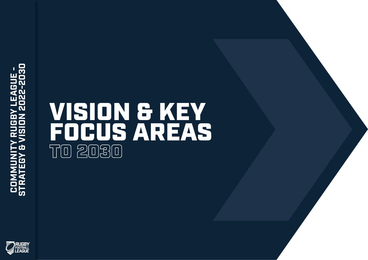

# VISION & KEY FOCUS AREAS TO 2030

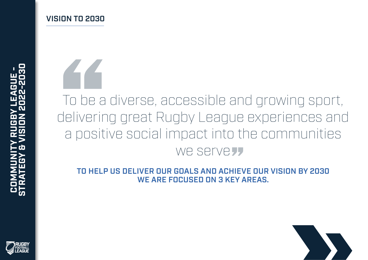#### VISION TO 2030

# To be a diverse, accessible and growing sport, delivering great Rugby League experiences and a positive social impact into the communities we serve **J**

TO HELP US DELIVER OUR GOALS AND ACHIEVE OUR VISION BY 2030 WE ARE FOCUSED ON 3 KEY AREAS.



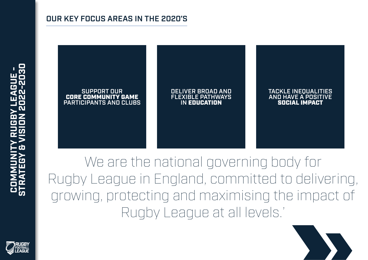# **GBY LEAGUE –<br>DN 2022-2030 STRATEGY & VISION 2022-2030 COMMUNITY RUGBY LEAGUE -** COMMUNITY R<br>TRATEGY & VIS

#### OUR KEY FOCUS AREAS IN THE 2020'S



We are the national governing body for Rugby League in England, committed to delivering, growing, protecting and maximising the impact of Rugby League at all levels.'



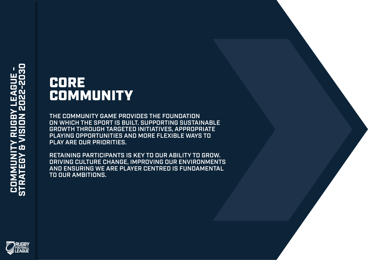### CORE **COMMUNITY**

THE COMMUNITY GAME PROVIDES THE FOUNDATION ON WHICH THE SPORT IS BUILT. SUPPORTING SUSTAINABLE GROWTH THROUGH TARGETED INITIATIVES, APPROPRIATE PLAYING OPPORTUNITIES AND MORE FLEXIBLE WAYS TO PLAY ARE OUR PRIORITIES.

RETAINING PARTICIPANTS IS KEY TO OUR ABILITY TO GROW. DRIVING CULTURE CHANGE, IMPROVING OUR ENVIRONMENTS AND ENSURING WE ARE PLAYER CENTRED IS FUNDAMENTAL TO OUR AMBITIONS.

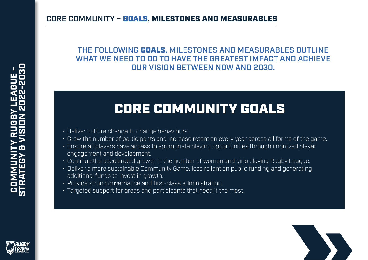#### CORE COMMUNITY – GOALS, MILESTONES AND MEASURABLES

#### THE FOLLOWING GOALS, MILESTONES AND MEASURABLES OUTLINE WHAT WE NEED TO DO TO HAVE THE GREATEST IMPACT AND ACHIEVE OUR VISION BETWEEN NOW AND 2030.

# CORE COMMUNITY GOALS

- Deliver culture change to change behaviours.
- $\cdot$  Grow the number of participants and increase retention every year across all forms of the game.
- Ensure all players have access to appropriate playing opportunities through improved player engagement and development.
- Continue the accelerated growth in the number of women and girls playing Rugby League.
- Deliver a more sustainable Community Game, less reliant on public funding and generating additional funds to invest in growth.
- Provide strong governance and first-class administration.
- Targeted support for areas and participants that need it the most.



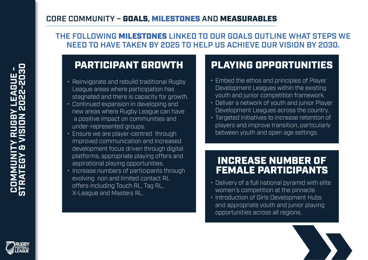#### CORE COMMUNITY – GOALS, MILESTONES AND MEASURABLES

#### THE FOLLOWING MILESTONES LINKED TO OUR GOALS OUTLINE WHAT STEPS WE NEED TO HAVE TAKEN BY 2025 TO HELP US ACHIEVE OUR VISION BY 2030.

#### PARTICIPANT GROWTH

- Reinvigorate and rebuild traditional Rugby League areas where participation has stagnated and there is capacity for growth.
- Continued expansion in developing and new areas where Rugby League can have a positive impact on communities and under-represented groups.
- Ensure we are player-centred through improved communication and increased development focus driven through digital platforms, appropriate playing offers and aspirational playing opportunities.
- Increase numbers of participants through evolving non and limited contact RL offers including Touch RL, Tag RL, X-League and Masters RL.

#### PLAYING OPPORTUNITIES

- Embed the ethos and principles of Player Development Leagues within the existing youth and junior competition framework.
- Deliver a network of youth and junior Player Development Leagues across the country.
- Targeted initiatives to increase retention of players and improve transition, particularly between youth and open age settings.

#### INCREASE NUMBER OF FEMALE PARTICIPANTS

- Delivery of a full national pyramid with elite women's competition at the pinnacle.
- Introduction of Girls Development Hubs and appropriate youth and junior playing opportunities across all regions.



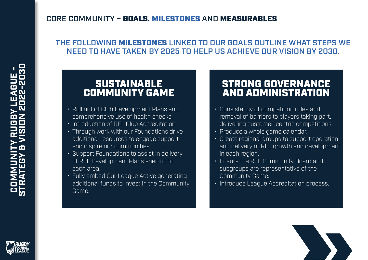#### THE FOLLOWING MILESTONES LINKED TO OUR GOALS OUTLINE WHAT STEPS WE NEED TO HAVE TAKEN BY 2025 TO HELP US ACHIEVE OUR VISION BY 2030.

#### SUSTAINABLE COMMUNITY GAME

- Roll out of Club Development Plans and comprehensive use of health checks.
- Introduction of RFL Club Accreditation.
- Through work with our Foundations drive additional resources to engage support and inspire our communities.
- Support Foundations to assist in delivery of RFL Development Plans specific to each area.
- Fully embed Our League Active generating additional funds to invest in the Community Game.

#### **STRONG GOVERNANCE** AND ADMINISTRATION

- Consistency of competition rules and removal of barriers to players taking part, delivering customer-centric competitions.
- Produce a whole game calendar.
- Create regional groups to support operation and delivery of RFL growth and development in each region.
- Ensure the RFL Community Board and subgroups are representative of the Community Game.
- Introduce League Accreditation process.



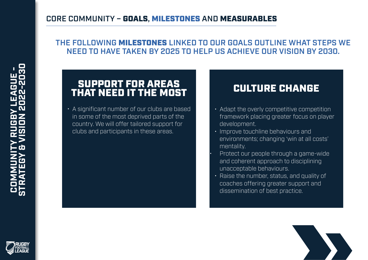#### THE FOLLOWING MILESTONES LINKED TO OUR GOALS OUTLINE WHAT STEPS WE NEED TO HAVE TAKEN BY 2025 TO HELP US ACHIEVE OUR VISION BY 2030.

#### SUPPORT FOR AREAS THAT NEED IT THE MOST

• A significant number of our clubs are based in some of the most deprived parts of the country. We will offer tailored support for clubs and participants in these areas.

#### CULTURE CHANGE

- Adapt the overly competitive competition framework placing greater focus on player development.
- Improve touchline behaviours and environments; changing 'win at all costs' mentality.
- Protect our people through a game-wide and coherent approach to disciplining unacceptable behaviours.
- Raise the number, status, and quality of coaches offering greater support and dissemination of best practice.



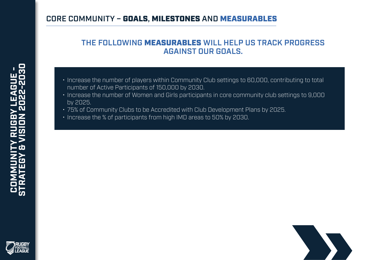#### CORE COMMUNITY – GOALS, MILESTONES AND MEASURABLES

#### THE FOLLOWING MEASURABLES WILL HELP US TRACK PROGRESS AGAINST OUR GOALS.

- Increase the number of players within Community Club settings to 60,000, contributing to total number of Active Participants of 150,000 by 2030.
- Increase the number of Women and Girls participants in core community club settings to 9,000 by 2025.
- 75% of Community Clubs to be Accredited with Club Development Plans by 2025.
- Increase the % of participants from high IMD areas to 50% by 2030.



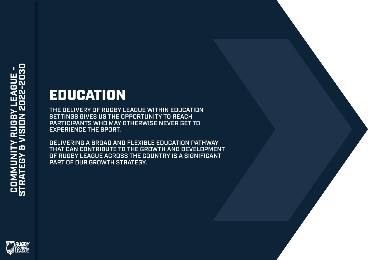## EDUCATION

THE DELIVERY OF RUGBY LEAGUE WITHIN EDUCATION SETTINGS GIVES US THE OPPORTUNITY TO REACH PARTICIPANTS WHO MAY OTHERWISE NEVER GET TO EXPERIENCE THE SPORT.

DELIVERING A BROAD AND FLEXIBLE EDUCATION PATHWAY THAT CAN CONTRIBUTE TO THE GROWTH AND DEVELOPMENT OF RUGBY LEAGUE ACROSS THE COUNTRY IS A SIGNIFICANT PART OF OUR GROWTH STRATEGY.

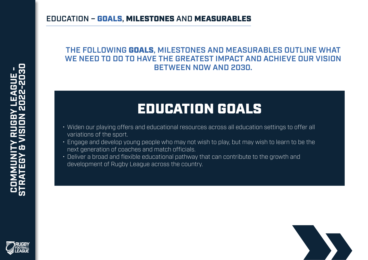#### THE FOLLOWING GOALS, MILESTONES AND MEASURABLES OUTLINE WHAT WE NEED TO DO TO HAVE THE GREATEST IMPACT AND ACHIEVE OUR VISION BETWEEN NOW AND 2030.

# EDUCATION GOALS

- Widen our playing offers and educational resources across all education settings to offer all variations of the sport.
- Engage and develop young people who may not wish to play, but may wish to learn to be the next generation of coaches and match officials.
- Deliver a broad and flexible educational pathway that can contribute to the growth and development of Rugby League across the country.



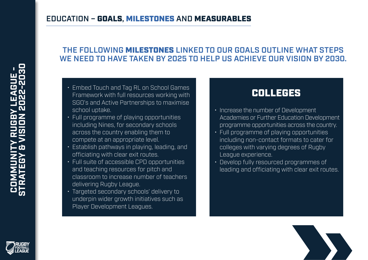#### THE FOLLOWING MILESTONES LINKED TO OUR GOALS OUTLINE WHAT STEPS WE NEED TO HAVE TAKEN BY 2025 TO HELP US ACHIEVE OUR VISION BY 2030.

- Embed Touch and Tag RL on School Games Framework with full resources working with SGO's and Active Partnerships to maximise school uptake.
- Full programme of playing opportunities including Nines, for secondary schools across the country enabling them to compete at an appropriate level.
- Establish pathways in playing, leading, and officiating with clear exit routes.
- Full suite of accessible CPD opportunities and teaching resources for pitch and classroom to increase number of teachers delivering Rugby League.
- Targeted secondary schools' delivery to underpin wider growth initiatives such as Player Development Leagues.

#### COLLEGES

- Increase the number of Development Academies or Further Education Development programme opportunities across the country.
- Full programme of playing opportunities including non-contact formats to cater for colleges with varying degrees of Rugby League experience.
- Develop fully resourced programmes of leading and officiating with clear exit routes.



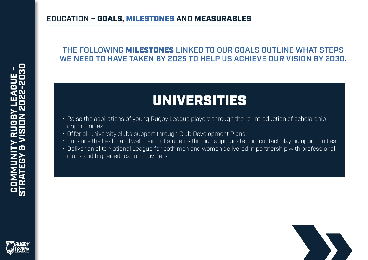#### THE FOLLOWING MILESTONES LINKED TO OUR GOALS OUTLINE WHAT STEPS WE NEED TO HAVE TAKEN BY 2025 TO HELP US ACHIEVE OUR VISION BY 2030.

## UNIVERSITIES

- Raise the aspirations of young Rugby League players through the re-introduction of scholarship opportunities.
- Offer all university clubs support through Club Development Plans.
- Enhance the health and well-being of students through appropriate non-contact playing opportunities.
- Deliver an elite National League for both men and women delivered in partnership with professional clubs and higher education providers.



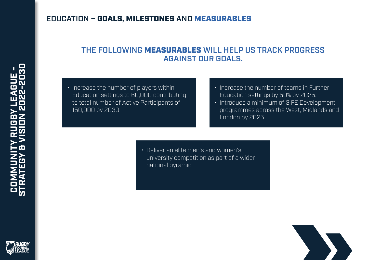#### THE FOLLOWING MEASURABLES WILL HELP US TRACK PROGRESS AGAINST OUR GOALS.

• Increase the number of players within Education settings to 60,000 contributing to total number of Active Participants of 150,000 by 2030.

- Increase the number of teams in Further Education settings by 50% by 2025.
- Introduce a minimum of 3 FE Development programmes across the West, Midlands and London by 2025.

• Deliver an elite men's and women's university competition as part of a wider national pyramid.

**PO3** 

**Ch** 



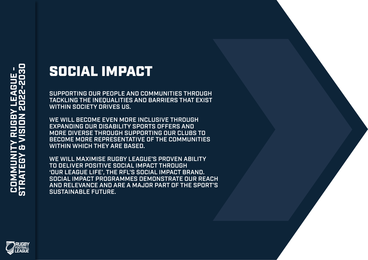## SOCIAL IMPACT

SUPPORTING OUR PEOPLE AND COMMUNITIES THROUGH TACKLING THE INEQUALITIES AND BARRIERS THAT EXIST WITHIN SOCIETY DRIVES US.

WE WILL BECOME EVEN MORE INCLUSIVE THROUGH EXPANDING OUR DISABILITY SPORTS OFFERS AND MORE DIVERSE THROUGH SUPPORTING OUR CLUBS TO BECOME MORE REPRESENTATIVE OF THE COMMUNITIES WITHIN WHICH THEY ARE BASED.

WE WILL MAXIMISE RUGBY LEAGUE'S PROVEN ABILITY TO DELIVER POSITIVE SOCIAL IMPACT THROUGH 'OUR LEAGUE LIFE', THE RFL'S SOCIAL IMPACT BRAND. SOCIAL IMPACT PROGRAMMES DEMONSTRATE OUR REACH AND RELEVANCE AND ARE A MAJOR PART OF THE SPORT'S SUSTAINABLE FUTURE.

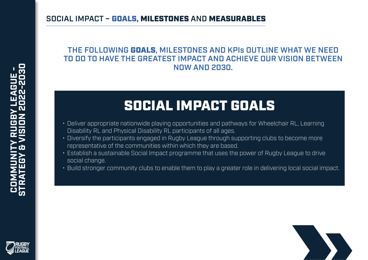#### THE FOLLOWING GOALS, MILESTONES AND KPIs OUTLINE WHAT WE NEED TO DO TO HAVE THE GREATEST IMPACT AND ACHIEVE OUR VISION BETWEEN NOW AND 2030.

# SOCIAL IMPACT GOALS

- Deliver appropriate nationwide playing opportunities and pathways for Wheelchair RL, Learning Disability RL and Physical Disability RL participants of all ages.
- $\cdot$  Diversify the participants engaged in Rugby League through supporting clubs to become more representative of the communities within which they are based.
- Establish a sustainable Social Impact programme that uses the power of Rugby League to drive social change.
- Build stronger community clubs to enable them to play a greater role in delivering local social impact.



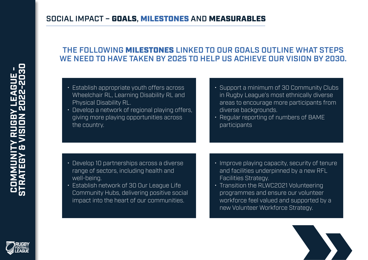#### THE FOLLOWING MILESTONES LINKED TO OUR GOALS OUTLINE WHAT STEPS WE NEED TO HAVE TAKEN BY 2025 TO HELP US ACHIEVE OUR VISION BY 2030.

- Establish appropriate youth offers across Wheelchair RL, Learning Disability RL and Physical Disability RL.
- Develop a network of regional playing offers, giving more playing opportunities across the country.
- Support a minimum of 30 Community Clubs in Rugby League's most ethnically diverse areas to encourage more participants from diverse backgrounds.
- Regular reporting of numbers of BAME participants

- Develop 10 partnerships across a diverse range of sectors, including health and well-being.
- Establish network of 30 Our League Life Community Hubs, delivering positive social impact into the heart of our communities.
- Improve playing capacity, security of tenure and facilities underpinned by a new RFL Facilities Strategy.
- Transition the RLWC2021 Volunteering programmes and ensure our volunteer workforce feel valued and supported by a new Volunteer Workforce Strategy.



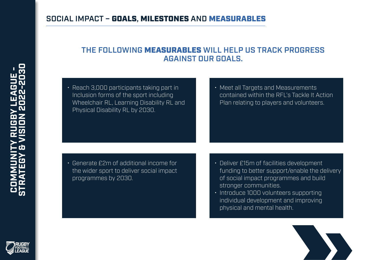#### THE FOLLOWING MEASURABLES WILL HELP US TRACK PROGRESS AGAINST OUR GOALS.

• Reach 3,000 participants taking part in Inclusion forms of the sport including Wheelchair RL, Learning Disability RL and Physical Disability RL by 2030.

• Meet all Targets and Measurements contained within the RFL's Tackle It Action Plan relating to players and volunteers.

• Generate £2m of additional income for the wider sport to deliver social impact programmes by 2030.

- Deliver £15m of facilities development funding to better support/enable the delivery of social impact programmes and build stronger communities.
- Introduce 1000 volunteers supporting individual development and improving physical and mental health.



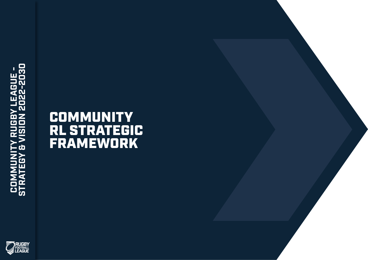

**COMMUNITY RUGBY LEAGUE -<br>STRATEGY & VISION 2022-2030 STRATEGY & VISION 2022-2030COMMUNITY RUGBY LEAGUE -**

## **COMMUNITY** RL STRATEGIC FRAMEWORK